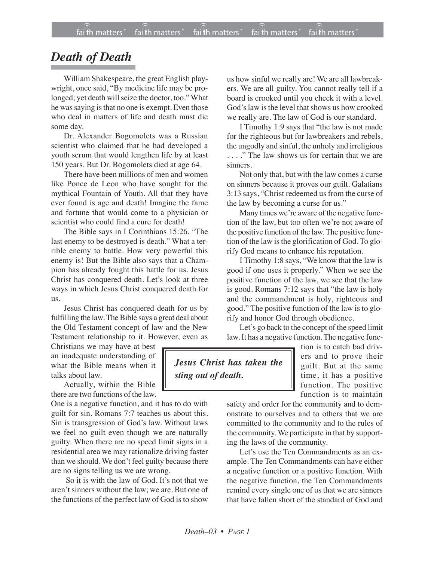## *Death of Death*

William Shakespeare, the great English playwright, once said, "By medicine life may be prolonged; yet death will seize the doctor, too." What he was saying is that no one is exempt. Even those who deal in matters of life and death must die some day.

Dr. Alexander Bogomolets was a Russian scientist who claimed that he had developed a youth serum that would lengthen life by at least 150 years. But Dr. Bogomolets died at age 64.

There have been millions of men and women like Ponce de Leon who have sought for the mythical Fountain of Youth. All that they have ever found is age and death! Imagine the fame and fortune that would come to a physician or scientist who could find a cure for death!

The Bible says in I Corinthians 15:26, "The last enemy to be destroyed is death." What a terrible enemy to battle. How very powerful this enemy is! But the Bible also says that a Champion has already fought this battle for us. Jesus Christ has conquered death. Let's look at three ways in which Jesus Christ conquered death for us.

Jesus Christ has conquered death for us by fulfilling the law. The Bible says a great deal about the Old Testament concept of law and the New Testament relationship to it. However, even as

Christians we may have at best an inadequate understanding of what the Bible means when it talks about law.

Actually, within the Bible there are two functions of the law.

One is a negative function, and it has to do with guilt for sin. Romans 7:7 teaches us about this. Sin is transgression of God's law. Without laws we feel no guilt even though we are naturally guilty. When there are no speed limit signs in a residential area we may rationalize driving faster than we should. We don't feel guilty because there are no signs telling us we are wrong.

So it is with the law of God. It's not that we aren't sinners without the law; we are. But one of the functions of the perfect law of God is to show us how sinful we really are! We are all lawbreakers. We are all guilty. You cannot really tell if a board is crooked until you check it with a level. God's law is the level that shows us how crooked we really are. The law of God is our standard.

I Timothy 1:9 says that "the law is not made for the righteous but for lawbreakers and rebels, the ungodly and sinful, the unholy and irreligious . . . ." The law shows us for certain that we are sinners.

Not only that, but with the law comes a curse on sinners because it proves our guilt. Galatians 3:13 says, "Christ redeemed us from the curse of the law by becoming a curse for us."

Many times we're aware of the negative function of the law, but too often we're not aware of the positive function of the law. The positive function of the law is the glorification of God. To glorify God means to enhance his reputation.

I Timothy 1:8 says, "We know that the law is good if one uses it properly." When we see the positive function of the law, we see that the law is good. Romans 7:12 says that "the law is holy and the commandment is holy, righteous and good." The positive function of the law is to glorify and honor God through obedience.

Let's go back to the concept of the speed limit law. It has a negative function.The negative func-

*Jesus Christ has taken the sting out of death.*

tion is to catch bad drivers and to prove their guilt. But at the same time, it has a positive function. The positive function is to maintain

safety and order for the community and to demonstrate to ourselves and to others that we are committed to the community and to the rules of the community. We participate in that by supporting the laws of the community.

Let's use the Ten Commandments as an example. The Ten Commandments can have either a negative function or a positive function. With the negative function, the Ten Commandments remind every single one of us that we are sinners that have fallen short of the standard of God and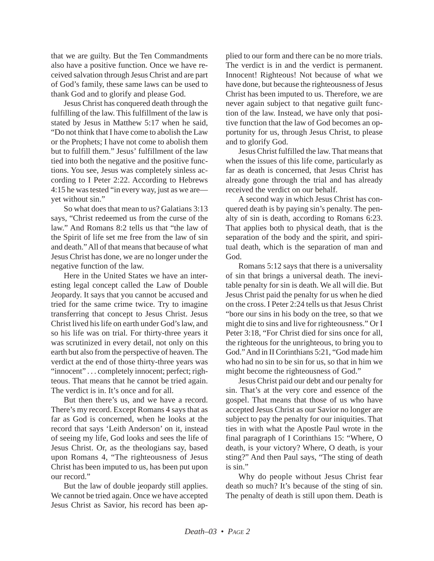that we are guilty. But the Ten Commandments also have a positive function. Once we have received salvation through Jesus Christ and are part of God's family, these same laws can be used to thank God and to glorify and please God.

Jesus Christ has conquered death through the fulfilling of the law. This fulfillment of the law is stated by Jesus in Matthew 5:17 when he said, "Do not think that I have come to abolish the Law or the Prophets; I have not come to abolish them but to fulfill them." Jesus' fulfillment of the law tied into both the negative and the positive functions. You see, Jesus was completely sinless according to I Peter 2:22. According to Hebrews 4:15 he was tested "in every way, just as we are yet without sin."

So what does that mean to us? Galatians 3:13 says, "Christ redeemed us from the curse of the law." And Romans 8:2 tells us that "the law of the Spirit of life set me free from the law of sin and death." All of that means that because of what Jesus Christ has done, we are no longer under the negative function of the law.

Here in the United States we have an interesting legal concept called the Law of Double Jeopardy. It says that you cannot be accused and tried for the same crime twice. Try to imagine transferring that concept to Jesus Christ. Jesus Christ lived his life on earth under God's law, and so his life was on trial. For thirty-three years it was scrutinized in every detail, not only on this earth but also from the perspective of heaven. The verdict at the end of those thirty-three years was "innocent" . . . completely innocent; perfect; righteous. That means that he cannot be tried again. The verdict is in. It's once and for all.

But then there's us, and we have a record. There's my record. Except Romans 4 says that as far as God is concerned, when he looks at the record that says 'Leith Anderson' on it, instead of seeing my life, God looks and sees the life of Jesus Christ. Or, as the theologians say, based upon Romans 4, "The righteousness of Jesus Christ has been imputed to us, has been put upon our record."

But the law of double jeopardy still applies. We cannot be tried again. Once we have accepted Jesus Christ as Savior, his record has been ap-

plied to our form and there can be no more trials. The verdict is in and the verdict is permanent. Innocent! Righteous! Not because of what we have done, but because the righteousness of Jesus Christ has been imputed to us. Therefore, we are never again subject to that negative guilt function of the law. Instead, we have only that positive function that the law of God becomes an opportunity for us, through Jesus Christ, to please and to glorify God.

Jesus Christ fulfilled the law. That means that when the issues of this life come, particularly as far as death is concerned, that Jesus Christ has already gone through the trial and has already received the verdict on our behalf.

A second way in which Jesus Christ has conquered death is by paying sin's penalty. The penalty of sin is death, according to Romans 6:23. That applies both to physical death, that is the separation of the body and the spirit, and spiritual death, which is the separation of man and God.

Romans 5:12 says that there is a universality of sin that brings a universal death. The inevitable penalty for sin is death. We all will die. But Jesus Christ paid the penalty for us when he died on the cross. I Peter 2:24 tells us that Jesus Christ "bore our sins in his body on the tree, so that we might die to sins and live for righteousness." Or I Peter 3:18, "For Christ died for sins once for all, the righteous for the unrighteous, to bring you to God." And in II Corinthians 5:21, "God made him who had no sin to be sin for us, so that in him we might become the righteousness of God."

Jesus Christ paid our debt and our penalty for sin. That's at the very core and essence of the gospel. That means that those of us who have accepted Jesus Christ as our Savior no longer are subject to pay the penalty for our iniquities. That ties in with what the Apostle Paul wrote in the final paragraph of I Corinthians 15: "Where, O death, is your victory? Where, O death, is your sting?" And then Paul says, "The sting of death is sin."

Why do people without Jesus Christ fear death so much? It's because of the sting of sin. The penalty of death is still upon them. Death is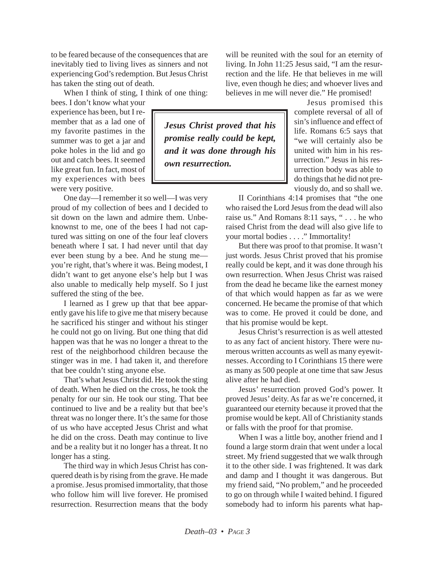to be feared because of the consequences that are inevitably tied to living lives as sinners and not experiencing God's redemption. But Jesus Christ has taken the sting out of death.

When I think of sting, I think of one thing:

bees. I don't know what your experience has been, but I remember that as a lad one of my favorite pastimes in the summer was to get a jar and poke holes in the lid and go out and catch bees. It seemed like great fun. In fact, most of my experiences with bees were very positive.

One day—I remember it so well—I was very proud of my collection of bees and I decided to sit down on the lawn and admire them. Unbeknownst to me, one of the bees I had not captured was sitting on one of the four leaf clovers beneath where I sat. I had never until that day ever been stung by a bee. And he stung me you're right, that's where it was. Being modest, I didn't want to get anyone else's help but I was also unable to medically help myself. So I just suffered the sting of the bee.

I learned as I grew up that that bee apparently gave his life to give me that misery because he sacrificed his stinger and without his stinger he could not go on living. But one thing that did happen was that he was no longer a threat to the rest of the neighborhood children because the stinger was in me. I had taken it, and therefore that bee couldn't sting anyone else.

That's what Jesus Christ did. He took the sting of death. When he died on the cross, he took the penalty for our sin. He took our sting. That bee continued to live and be a reality but that bee's threat was no longer there. It's the same for those of us who have accepted Jesus Christ and what he did on the cross. Death may continue to live and be a reality but it no longer has a threat. It no longer has a sting.

The third way in which Jesus Christ has conquered death is by rising from the grave. He made a promise. Jesus promised immortality, that those who follow him will live forever. He promised resurrection. Resurrection means that the body

*Jesus Christ proved that his promise really could be kept, and it was done through his own resurrection.*

will be reunited with the soul for an eternity of living. In John 11:25 Jesus said, "I am the resurrection and the life. He that believes in me will live, even though he dies; and whoever lives and believes in me will never die." He promised!

Jesus promised this complete reversal of all of sin's influence and effect of life. Romans 6:5 says that "we will certainly also be united with him in his resurrection." Jesus in his resurrection body was able to do things that he did not previously do, and so shall we.

II Corinthians 4:14 promises that "the one who raised the Lord Jesus from the dead will also raise us." And Romans 8:11 says, " . . . he who raised Christ from the dead will also give life to your mortal bodies . . . ." Immortality!

But there was proof to that promise. It wasn't just words. Jesus Christ proved that his promise really could be kept, and it was done through his own resurrection. When Jesus Christ was raised from the dead he became like the earnest money of that which would happen as far as we were concerned. He became the promise of that which was to come. He proved it could be done, and that his promise would be kept.

Jesus Christ's resurrection is as well attested to as any fact of ancient history. There were numerous written accounts as well as many eyewitnesses. According to I Corinthians 15 there were as many as 500 people at one time that saw Jesus alive after he had died.

Jesus' resurrection proved God's power. It proved Jesus' deity. As far as we're concerned, it guaranteed our eternity because it proved that the promise would be kept. All of Christianity stands or falls with the proof for that promise.

When I was a little boy, another friend and I found a large storm drain that went under a local street. My friend suggested that we walk through it to the other side. I was frightened. It was dark and damp and I thought it was dangerous. But my friend said, "No problem," and he proceeded to go on through while I waited behind. I figured somebody had to inform his parents what hap-